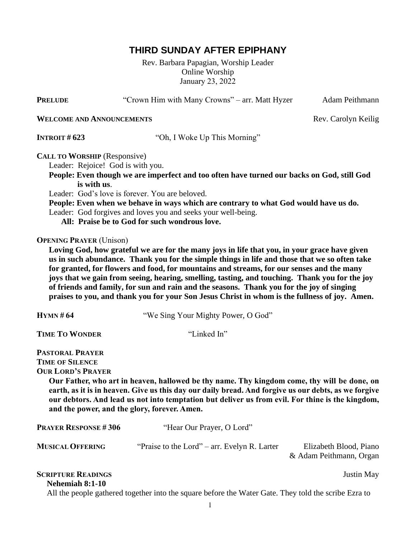# **THIRD SUNDAY AFTER EPIPHANY**

Rev. Barbara Papagian, Worship Leader Online Worship January 23, 2022

**PRELUDE** "Crown Him with Many Crowns" – arr. Matt Hyzer Adam Peithmann **WELCOME AND ANNOUNCEMENTS** Rev. Carolyn Keilig **INTROIT # 623** "Oh, I Woke Up This Morning" **CALL TO WORSHIP** (Responsive) Leader: Rejoice! God is with you.  **People: Even though we are imperfect and too often have turned our backs on God, still God is with us**. Leader: God's love is forever. You are beloved.  **People: Even when we behave in ways which are contrary to what God would have us do.** Leader: God forgives and loves you and seeks your well-being.  **All: Praise be to God for such wondrous love. OPENING PRAYER** (Unison)  **Loving God, how grateful we are for the many joys in life that you, in your grace have given us in such abundance. Thank you for the simple things in life and those that we so often take for granted, for flowers and food, for mountains and streams, for our senses and the many joys that we gain from seeing, hearing, smelling, tasting, and touching. Thank you for the joy of friends and family, for sun and rain and the seasons. Thank you for the joy of singing praises to you, and thank you for your Son Jesus Christ in whom is the fullness of joy. Amen. HYMN # 64** "We Sing Your Mighty Power, O God" **TIME TO WONDER** "Linked In" **PASTORAL PRAYER TIME OF SILENCE OUR LORD'S PRAYER Our Father, who art in heaven, hallowed be thy name. Thy kingdom come, thy will be done, on** earth, as it is in heaven. Give us this day our daily bread. And forgive us our debts, as we forgive **our debtors. And lead us not into temptation but deliver us from evil. For thine is the kingdom, and the power, and the glory, forever. Amen. PRAYER RESPONSE # 306** "Hear Our Prayer, O Lord" **MUSICALOFFERING** "Praise to the Lord" – arr. Evelyn R. Larter Elizabeth Blood, Piano & Adam Peithmann, Organ **SCRIPTURE READINGS** Justin May  **Nehemiah 8:1-10** All the people gathered together into the square before the Water Gate. They told the scribe Ezra to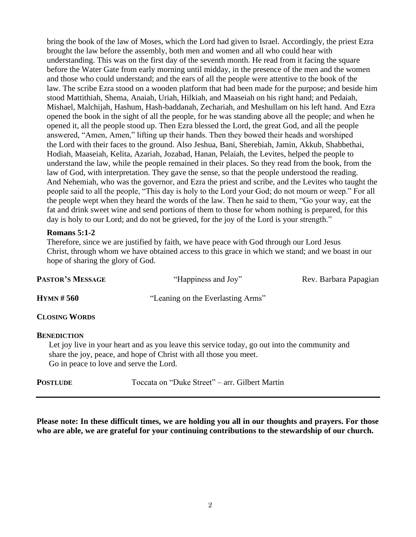bring the book of the law of Moses, which the Lord had given to Israel. Accordingly, the priest Ezra brought the law before the assembly, both men and women and all who could hear with understanding. This was on the first day of the seventh month. He read from it facing the square before the Water Gate from early morning until midday, in the presence of the men and the women and those who could understand; and the ears of all the people were attentive to the book of the law. The scribe Ezra stood on a wooden platform that had been made for the purpose; and beside him stood Mattithiah, Shema, Anaiah, Uriah, Hilkiah, and Maaseiah on his right hand; and Pedaiah, Mishael, Malchijah, Hashum, Hash-baddanah, Zechariah, and Meshullam on his left hand. And Ezra opened the book in the sight of all the people, for he was standing above all the people; and when he opened it, all the people stood up. Then Ezra blessed the Lord, the great God, and all the people answered, "Amen, Amen," lifting up their hands. Then they bowed their heads and worshiped the Lord with their faces to the ground. Also Jeshua, Bani, Sherebiah, Jamin, Akkub, Shabbethai, Hodiah, Maaseiah, Kelita, Azariah, Jozabad, Hanan, Pelaiah, the Levites, helped the people to understand the law, while the people remained in their places. So they read from the book, from the law of God, with interpretation. They gave the sense, so that the people understood the reading. And Nehemiah, who was the governor, and Ezra the priest and scribe, and the Levites who taught the people said to all the people, "This day is holy to the Lord your God; do not mourn or weep." For all the people wept when they heard the words of the law. Then he said to them, "Go your way, eat the fat and drink sweet wine and send portions of them to those for whom nothing is prepared, for this day is holy to our Lord; and do not be grieved, for the joy of the Lord is your strength."

#### **Romans 5:1-2**

 Therefore, since we are justified by faith, we have peace with God through our Lord Jesus Christ, through whom we have obtained access to this grace in which we stand; and we boast in our hope of sharing the glory of God.

| <b>PASTOR'S MESSAGE</b> | "Happiness and Joy"               | Rev. Barbara Papagian |
|-------------------------|-----------------------------------|-----------------------|
| Hymn # 560              | "Leaning on the Everlasting Arms" |                       |
| <b>CLOSING WORDS</b>    |                                   |                       |

#### **BENEDICTION**

Let joy live in your heart and as you leave this service today, go out into the community and share the joy, peace, and hope of Christ with all those you meet. Go in peace to love and serve the Lord.

|  | <b>POSTLUDE</b> | Toccata on "Duke Street" – arr. Gilbert Martin |  |
|--|-----------------|------------------------------------------------|--|
|--|-----------------|------------------------------------------------|--|

**Please note: In these difficult times, we are holding you all in our thoughts and prayers. For those who are able, we are grateful for your continuing contributions to the stewardship of our church.**